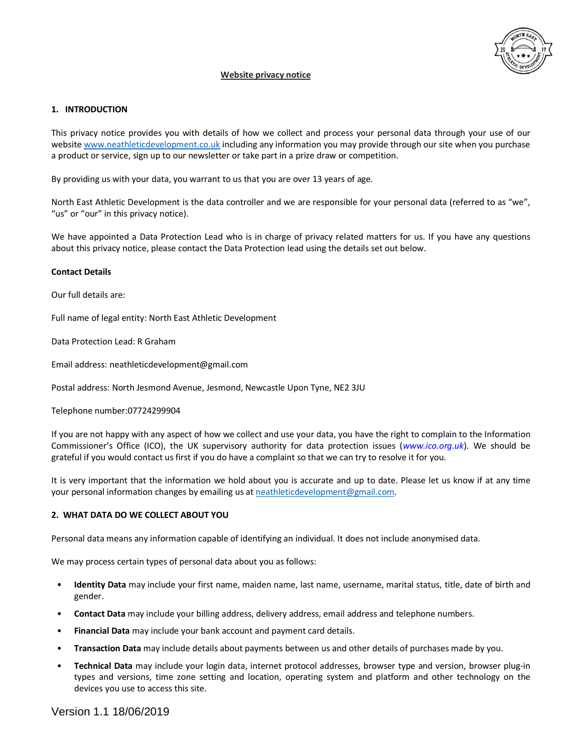

# **Website privacy notice**

# **1. INTRODUCTION**

This privacy notice provides you with details of how we collect and process your personal data through your use of our website www.neathleticdevelopment.co.uk including any information you may provide through our site when you purchase a product or service, sign up to our newsletter or take part in a prize draw or competition.

By providing us with your data, you warrant to us that you are over 13 years of age.

North East Athletic Development is the data controller and we are responsible for your personal data (referred to as "we", "us" or "our" in this privacy notice).

We have appointed a Data Protection Lead who is in charge of privacy related matters for us. If you have any questions about this privacy notice, please contact the Data Protection lead using the details set out below.

## **Contact Details**

Our full details are:

Full name of legal entity: North East Athletic Development

Data Protection Lead: R Graham

Email address: neathleticdevelopment@gmail.com

Postal address: North Jesmond Avenue, Jesmond, Newcastle Upon Tyne, NE2 3JU

Telephone number:07724299904

If you are not happy with any aspect of how we collect and use your data, you have the right to complain to the Information Commissioner's Office (ICO), the UK supervisory authority for data protection issues (*www.ico.org.uk*). We should be grateful if you would contact us first if you do have a complaint so that we can try to resolve it for you.

It is very important that the information we hold about you is accurate and up to date. Please let us know if at any time your personal information changes by emailing us at neathleticdevelopment@gmail.com.

### **2. WHAT DATA DO WE COLLECT ABOUT YOU**

Personal data means any information capable of identifying an individual. It does not include anonymised data.

We may process certain types of personal data about you as follows:

- **Identity Data** may include your first name, maiden name, last name, username, marital status, title, date of birth and gender.
- **Contact Data** may include your billing address, delivery address, email address and telephone numbers.
- **Financial Data** may include your bank account and payment card details.
- **Transaction Data** may include details about payments between us and other details of purchases made by you.
- **Technical Data** may include your login data, internet protocol addresses, browser type and version, browser plug-in types and versions, time zone setting and location, operating system and platform and other technology on the devices you use to access this site.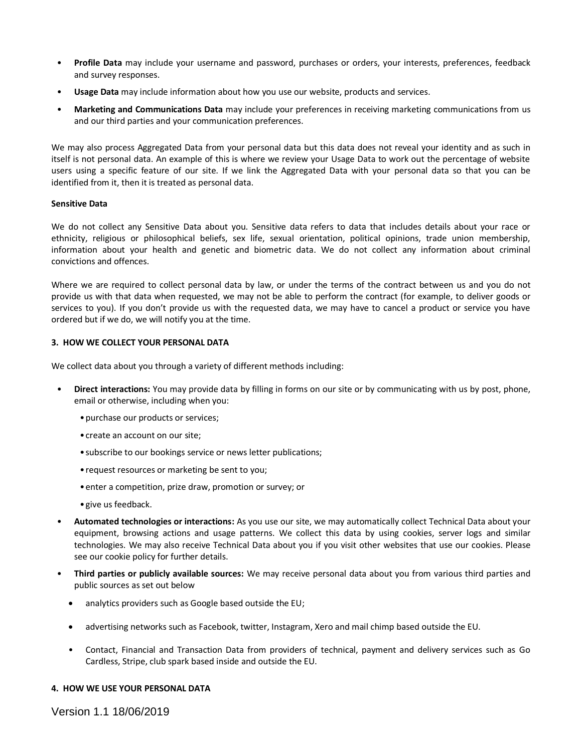- **Profile Data** may include your username and password, purchases or orders, your interests, preferences, feedback and survey responses.
- **Usage Data** may include information about how you use our website, products and services.
- **Marketing and Communications Data** may include your preferences in receiving marketing communications from us and our third parties and your communication preferences.

We may also process Aggregated Data from your personal data but this data does not reveal your identity and as such in itself is not personal data. An example of this is where we review your Usage Data to work out the percentage of website users using a specific feature of our site. If we link the Aggregated Data with your personal data so that you can be identified from it, then it is treated as personal data.

# **Sensitive Data**

We do not collect any Sensitive Data about you. Sensitive data refers to data that includes details about your race or ethnicity, religious or philosophical beliefs, sex life, sexual orientation, political opinions, trade union membership, information about your health and genetic and biometric data. We do not collect any information about criminal convictions and offences.

Where we are required to collect personal data by law, or under the terms of the contract between us and you do not provide us with that data when requested, we may not be able to perform the contract (for example, to deliver goods or services to you). If you don't provide us with the requested data, we may have to cancel a product or service you have ordered but if we do, we will notify you at the time.

## **3. HOW WE COLLECT YOUR PERSONAL DATA**

We collect data about you through a variety of different methods including:

- **Direct interactions:** You may provide data by filling in forms on our site or by communicating with us by post, phone, email or otherwise, including when you:
	- •purchase our products or services;
	- •create an account on our site;
	- •subscribe to our bookings service or news letter publications;
	- •request resources or marketing be sent to you;
	- •enter a competition, prize draw, promotion or survey; or
	- •give us feedback.
- **Automated technologies or interactions:** As you use our site, we may automatically collect Technical Data about your equipment, browsing actions and usage patterns. We collect this data by using cookies, server logs and similar technologies. We may also receive Technical Data about you if you visit other websites that use our cookies. Please see our cookie policy for further details.
- **Third parties or publicly available sources:** We may receive personal data about you from various third parties and public sources as set out below
	- analytics providers such as Google based outside the EU;
	- advertising networks such as Facebook, twitter, Instagram, Xero and mail chimp based outside the EU.
	- Contact, Financial and Transaction Data from providers of technical, payment and delivery services such as Go Cardless, Stripe, club spark based inside and outside the EU.

# **4. HOW WE USE YOUR PERSONAL DATA**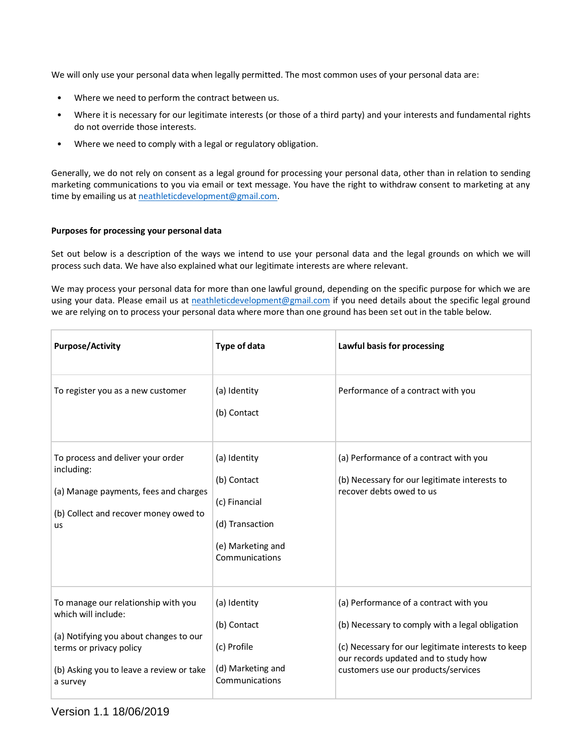We will only use your personal data when legally permitted. The most common uses of your personal data are:

- Where we need to perform the contract between us.
- Where it is necessary for our legitimate interests (or those of a third party) and your interests and fundamental rights do not override those interests.
- Where we need to comply with a legal or regulatory obligation.

Generally, we do not rely on consent as a legal ground for processing your personal data, other than in relation to sending marketing communications to you via email or text message. You have the right to withdraw consent to marketing at any time by emailing us at neathleticdevelopment@gmail.com.

### **Purposes for processing your personal data**

Set out below is a description of the ways we intend to use your personal data and the legal grounds on which we will process such data. We have also explained what our legitimate interests are where relevant.

We may process your personal data for more than one lawful ground, depending on the specific purpose for which we are using your data. Please email us at neathleticdevelopment@gmail.com if you need details about the specific legal ground we are relying on to process your personal data where more than one ground has been set out in the table below.

| <b>Purpose/Activity</b>                                                                                                                                                                 | Type of data                                                                                           | Lawful basis for processing                                                                                                                                                                                                    |
|-----------------------------------------------------------------------------------------------------------------------------------------------------------------------------------------|--------------------------------------------------------------------------------------------------------|--------------------------------------------------------------------------------------------------------------------------------------------------------------------------------------------------------------------------------|
| To register you as a new customer                                                                                                                                                       | (a) Identity<br>(b) Contact                                                                            | Performance of a contract with you                                                                                                                                                                                             |
| To process and deliver your order<br>including:<br>(a) Manage payments, fees and charges<br>(b) Collect and recover money owed to<br>us                                                 | (a) Identity<br>(b) Contact<br>(c) Financial<br>(d) Transaction<br>(e) Marketing and<br>Communications | (a) Performance of a contract with you<br>(b) Necessary for our legitimate interests to<br>recover debts owed to us                                                                                                            |
| To manage our relationship with you<br>which will include:<br>(a) Notifying you about changes to our<br>terms or privacy policy<br>(b) Asking you to leave a review or take<br>a survey | (a) Identity<br>(b) Contact<br>(c) Profile<br>(d) Marketing and<br>Communications                      | (a) Performance of a contract with you<br>(b) Necessary to comply with a legal obligation<br>(c) Necessary for our legitimate interests to keep<br>our records updated and to study how<br>customers use our products/services |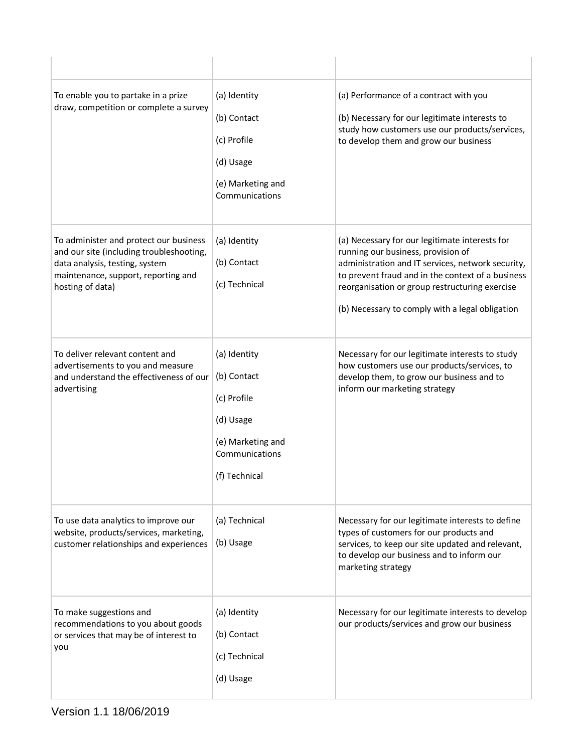| To enable you to partake in a prize<br>draw, competition or complete a survey                                                                                                   | (a) Identity<br>(b) Contact<br>(c) Profile<br>(d) Usage<br>(e) Marketing and<br>Communications                  | (a) Performance of a contract with you<br>(b) Necessary for our legitimate interests to<br>study how customers use our products/services,<br>to develop them and grow our business                                                                                                                  |
|---------------------------------------------------------------------------------------------------------------------------------------------------------------------------------|-----------------------------------------------------------------------------------------------------------------|-----------------------------------------------------------------------------------------------------------------------------------------------------------------------------------------------------------------------------------------------------------------------------------------------------|
| To administer and protect our business<br>and our site (including troubleshooting,<br>data analysis, testing, system<br>maintenance, support, reporting and<br>hosting of data) | (a) Identity<br>(b) Contact<br>(c) Technical                                                                    | (a) Necessary for our legitimate interests for<br>running our business, provision of<br>administration and IT services, network security,<br>to prevent fraud and in the context of a business<br>reorganisation or group restructuring exercise<br>(b) Necessary to comply with a legal obligation |
| To deliver relevant content and<br>advertisements to you and measure<br>and understand the effectiveness of our<br>advertising                                                  | (a) Identity<br>(b) Contact<br>(c) Profile<br>(d) Usage<br>(e) Marketing and<br>Communications<br>(f) Technical | Necessary for our legitimate interests to study<br>how customers use our products/services, to<br>develop them, to grow our business and to<br>inform our marketing strategy                                                                                                                        |
| To use data analytics to improve our<br>website, products/services, marketing,<br>customer relationships and experiences                                                        | (a) Technical<br>(b) Usage                                                                                      | Necessary for our legitimate interests to define<br>types of customers for our products and<br>services, to keep our site updated and relevant,<br>to develop our business and to inform our<br>marketing strategy                                                                                  |
| To make suggestions and<br>recommendations to you about goods<br>or services that may be of interest to<br>you                                                                  | (a) Identity<br>(b) Contact<br>(c) Technical<br>(d) Usage                                                       | Necessary for our legitimate interests to develop<br>our products/services and grow our business                                                                                                                                                                                                    |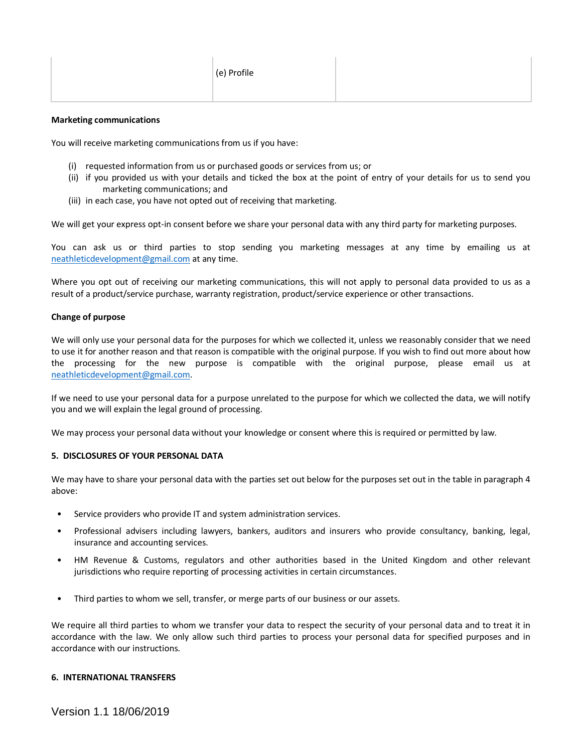| (e) Profile |  |  |
|-------------|--|--|
|-------------|--|--|

## **Marketing communications**

You will receive marketing communications from us if you have:

- (i) requested information from us or purchased goods or services from us; or
- (ii) if you provided us with your details and ticked the box at the point of entry of your details for us to send you marketing communications; and
- (iii) in each case, you have not opted out of receiving that marketing.

We will get your express opt-in consent before we share your personal data with any third party for marketing purposes.

You can ask us or third parties to stop sending you marketing messages at any time by emailing us at neathleticdevelopment@gmail.com at any time.

Where you opt out of receiving our marketing communications, this will not apply to personal data provided to us as a result of a product/service purchase, warranty registration, product/service experience or other transactions.

#### **Change of purpose**

We will only use your personal data for the purposes for which we collected it, unless we reasonably consider that we need to use it for another reason and that reason is compatible with the original purpose. If you wish to find out more about how the processing for the new purpose is compatible with the original purpose, please email us at neathleticdevelopment@gmail.com.

If we need to use your personal data for a purpose unrelated to the purpose for which we collected the data, we will notify you and we will explain the legal ground of processing.

We may process your personal data without your knowledge or consent where this is required or permitted by law.

#### **5. DISCLOSURES OF YOUR PERSONAL DATA**

We may have to share your personal data with the parties set out below for the purposes set out in the table in paragraph 4 above:

- Service providers who provide IT and system administration services.
- Professional advisers including lawyers, bankers, auditors and insurers who provide consultancy, banking, legal, insurance and accounting services.
- HM Revenue & Customs, regulators and other authorities based in the United Kingdom and other relevant jurisdictions who require reporting of processing activities in certain circumstances.
- Third parties to whom we sell, transfer, or merge parts of our business or our assets.

We require all third parties to whom we transfer your data to respect the security of your personal data and to treat it in accordance with the law. We only allow such third parties to process your personal data for specified purposes and in accordance with our instructions.

### **6. INTERNATIONAL TRANSFERS**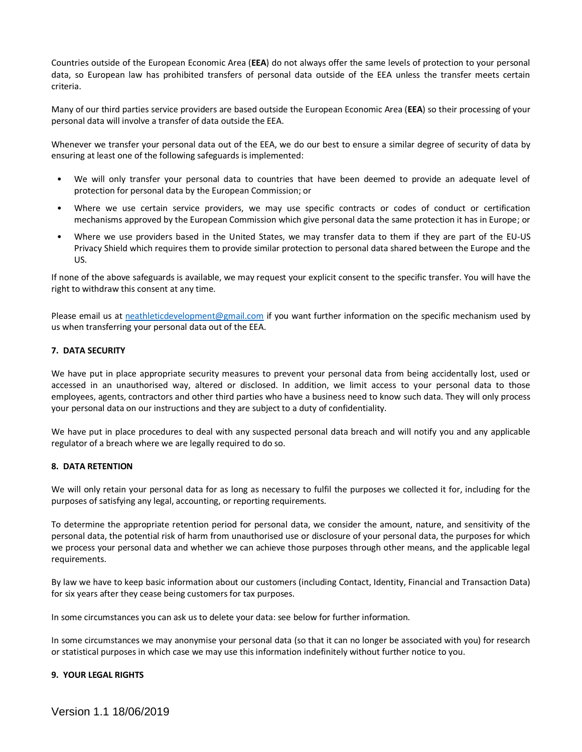Countries outside of the European Economic Area (**EEA**) do not always offer the same levels of protection to your personal data, so European law has prohibited transfers of personal data outside of the EEA unless the transfer meets certain criteria.

Many of our third parties service providers are based outside the European Economic Area (**EEA**) so their processing of your personal data will involve a transfer of data outside the EEA.

Whenever we transfer your personal data out of the EEA, we do our best to ensure a similar degree of security of data by ensuring at least one of the following safeguards is implemented:

- We will only transfer your personal data to countries that have been deemed to provide an adequate level of protection for personal data by the European Commission; or
- Where we use certain service providers, we may use specific contracts or codes of conduct or certification mechanisms approved by the European Commission which give personal data the same protection it has in Europe; or
- Where we use providers based in the United States, we may transfer data to them if they are part of the EU-US Privacy Shield which requires them to provide similar protection to personal data shared between the Europe and the US.

If none of the above safeguards is available, we may request your explicit consent to the specific transfer. You will have the right to withdraw this consent at any time.

Please email us at neathleticdevelopment@gmail.com if you want further information on the specific mechanism used by us when transferring your personal data out of the EEA.

## **7. DATA SECURITY**

We have put in place appropriate security measures to prevent your personal data from being accidentally lost, used or accessed in an unauthorised way, altered or disclosed. In addition, we limit access to your personal data to those employees, agents, contractors and other third parties who have a business need to know such data. They will only process your personal data on our instructions and they are subject to a duty of confidentiality.

We have put in place procedures to deal with any suspected personal data breach and will notify you and any applicable regulator of a breach where we are legally required to do so.

### **8. DATA RETENTION**

We will only retain your personal data for as long as necessary to fulfil the purposes we collected it for, including for the purposes of satisfying any legal, accounting, or reporting requirements.

To determine the appropriate retention period for personal data, we consider the amount, nature, and sensitivity of the personal data, the potential risk of harm from unauthorised use or disclosure of your personal data, the purposes for which we process your personal data and whether we can achieve those purposes through other means, and the applicable legal requirements.

By law we have to keep basic information about our customers (including Contact, Identity, Financial and Transaction Data) for six years after they cease being customers for tax purposes.

In some circumstances you can ask us to delete your data: see below for further information.

In some circumstances we may anonymise your personal data (so that it can no longer be associated with you) for research or statistical purposes in which case we may use this information indefinitely without further notice to you.

# **9. YOUR LEGAL RIGHTS**